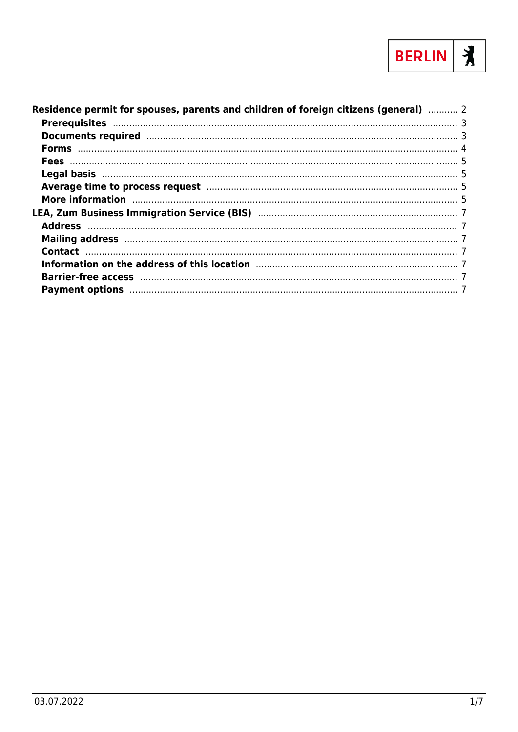

| Residence permit for spouses, parents and children of foreign citizens (general)  2                                                                                                                                            |  |
|--------------------------------------------------------------------------------------------------------------------------------------------------------------------------------------------------------------------------------|--|
|                                                                                                                                                                                                                                |  |
| Documents required manufactured and 3                                                                                                                                                                                          |  |
|                                                                                                                                                                                                                                |  |
|                                                                                                                                                                                                                                |  |
|                                                                                                                                                                                                                                |  |
| Average time to process request manufacture and the contract of 5                                                                                                                                                              |  |
| More information manufactured and the contract of the state of the state of the state of the state of the state of the state of the state of the state of the state of the state of the state of the state of the state of the |  |
|                                                                                                                                                                                                                                |  |
|                                                                                                                                                                                                                                |  |
| Mailing address manufactured and all and the manufactured and the manufactured and the manufactured and the ma                                                                                                                 |  |
|                                                                                                                                                                                                                                |  |
|                                                                                                                                                                                                                                |  |
|                                                                                                                                                                                                                                |  |
| Payment options manufactured and all control of the control of the control of the control of the control of the control of the control of the control of the control of the control of the control of the control of the contr |  |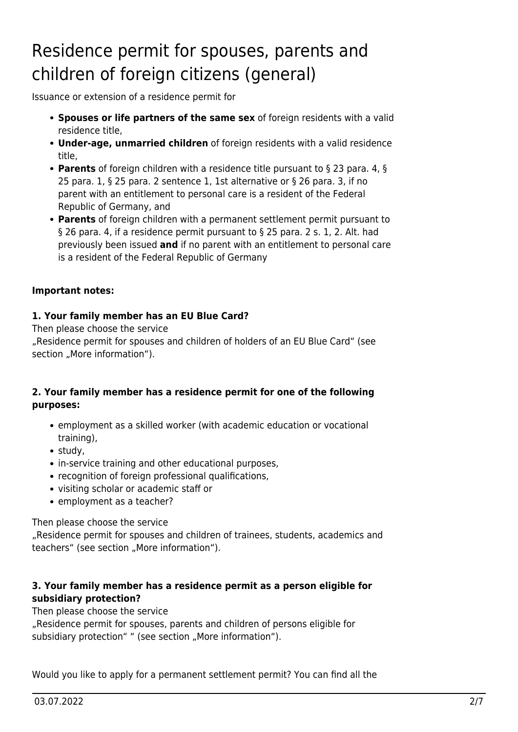# <span id="page-1-0"></span>Residence permit for spouses, parents and children of foreign citizens (general)

Issuance or extension of a residence permit for

- **Spouses or life partners of the same sex** of foreign residents with a valid residence title,
- **Under-age, unmarried children** of foreign residents with a valid residence title,
- **Parents** of foreign children with a residence title pursuant to § 23 para. 4, § 25 para. 1, § 25 para. 2 sentence 1, 1st alternative or § 26 para. 3, if no parent with an entitlement to personal care is a resident of the Federal Republic of Germany, and
- **Parents** of foreign children with a permanent settlement permit pursuant to § 26 para. 4, if a residence permit pursuant to § 25 para. 2 s. 1, 2. Alt. had previously been issued **and** if no parent with an entitlement to personal care is a resident of the Federal Republic of Germany

#### **Important notes:**

#### **1. Your family member has an EU Blue Card?**

Then please choose the service "Residence permit for spouses and children of holders of an EU Blue Card" (see section "More information").

#### **2. Your family member has a residence permit for one of the following purposes:**

- employment as a skilled worker (with academic education or vocational training),
- study,
- in-service training and other educational purposes,
- recognition of foreign professional qualifications,
- visiting scholar or academic staff or
- employment as a teacher?

Then please choose the service

"Residence permit for spouses and children of trainees, students, academics and teachers" (see section "More information").

#### **3. Your family member has a residence permit as a person eligible for subsidiary protection?**

Then please choose the service

"Residence permit for spouses, parents and children of persons eligible for subsidiary protection" " (see section "More information").

Would you like to apply for a permanent settlement permit? You can find all the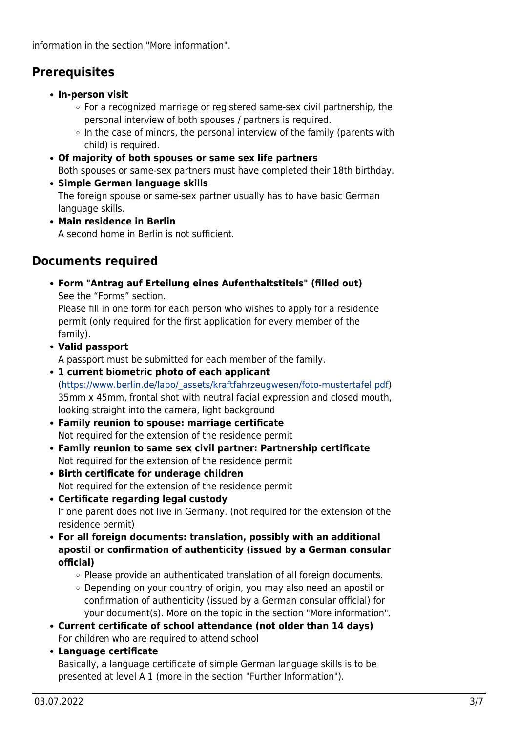information in the section "More information".

# <span id="page-2-0"></span>**Prerequisites**

- **In-person visit**
	- For a recognized marriage or registered same-sex civil partnership, the personal interview of both spouses / partners is required.
	- $\circ$  In the case of minors, the personal interview of the family (parents with child) is required.
- **Of majority of both spouses or same sex life partners** Both spouses or same-sex partners must have completed their 18th birthday.
- **Simple German language skills** The foreign spouse or same-sex partner usually has to have basic German language skills.
- **Main residence in Berlin** A second home in Berlin is not sufficient.

# <span id="page-2-1"></span>**Documents required**

**Form "Antrag auf Erteilung eines Aufenthaltstitels" (filled out)** See the "Forms" section.

Please fill in one form for each person who wishes to apply for a residence permit (only required for the first application for every member of the family).

**Valid passport**

A passport must be submitted for each member of the family.

- **1 current biometric photo of each applicant** ([https://www.berlin.de/labo/\\_assets/kraftfahrzeugwesen/foto-mustertafel.pdf\)](https://www.berlin.de/labo/_assets/kraftfahrzeugwesen/foto-mustertafel.pdf) 35mm x 45mm, frontal shot with neutral facial expression and closed mouth, looking straight into the camera, light background
- **Family reunion to spouse: marriage certificate** Not required for the extension of the residence permit
- **Family reunion to same sex civil partner: Partnership certificate** Not required for the extension of the residence permit
- **Birth certificate for underage children** Not required for the extension of the residence permit
- **Certificate regarding legal custody** If one parent does not live in Germany. (not required for the extension of the residence permit)
- **For all foreign documents: translation, possibly with an additional apostil or confirmation of authenticity (issued by a German consular official)**
	- $\circ$  Please provide an authenticated translation of all foreign documents.
	- Depending on your country of origin, you may also need an apostil or confirmation of authenticity (issued by a German consular official) for your document(s). More on the topic in the section "More information".
- **Current certificate of school attendance (not older than 14 days)** For children who are required to attend school
- **Language certificate**

Basically, a language certificate of simple German language skills is to be presented at level A 1 (more in the section "Further Information").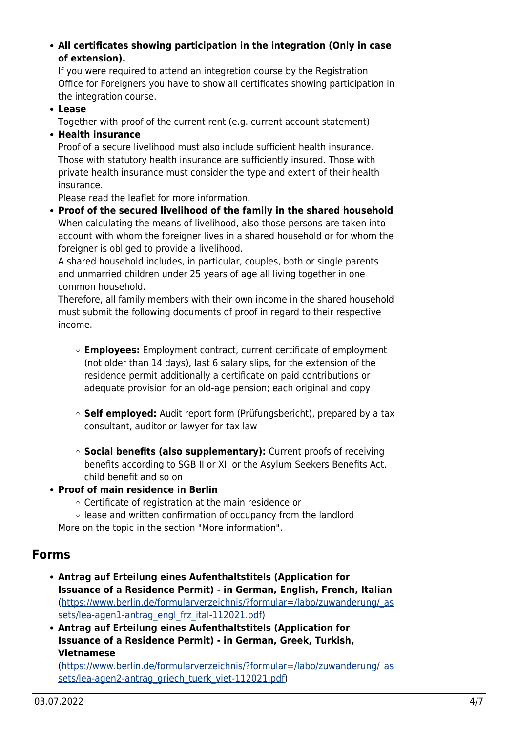**All certificates showing participation in the integration (Only in case of extension).**

If you were required to attend an integretion course by the Registration Office for Foreigners you have to show all certificates showing participation in the integration course.

**Lease**

Together with proof of the current rent (e.g. current account statement)

**Health insurance**

Proof of a secure livelihood must also include sufficient health insurance. Those with statutory health insurance are sufficiently insured. Those with private health insurance must consider the type and extent of their health insurance.

Please read the leaflet for more information.

**Proof of the secured livelihood of the family in the shared household** When calculating the means of livelihood, also those persons are taken into account with whom the foreigner lives in a shared household or for whom the foreigner is obliged to provide a livelihood.

A shared household includes, in particular, couples, both or single parents and unmarried children under 25 years of age all living together in one common household.

Therefore, all family members with their own income in the shared household must submit the following documents of proof in regard to their respective income.

- **Employees:** Employment contract, current certificate of employment (not older than 14 days), last 6 salary slips, for the extension of the residence permit additionally a certificate on paid contributions or adequate provision for an old-age pension; each original and copy
- **Self employed:** Audit report form (Prüfungsbericht), prepared by a tax consultant, auditor or lawyer for tax law
- **Social benefits (also supplementary):** Current proofs of receiving benefits according to SGB II or XII or the Asylum Seekers Benefits Act, child benefit and so on
- **Proof of main residence in Berlin**
	- Certificate of registration at the main residence or
	- lease and written confirmation of occupancy from the landlord More on the topic in the section "More information".

## <span id="page-3-0"></span>**Forms**

- **Antrag auf Erteilung eines Aufenthaltstitels (Application for Issuance of a Residence Permit) - in German, English, French, Italian** ([https://www.berlin.de/formularverzeichnis/?formular=/labo/zuwanderung/\\_as](https://www.berlin.de/formularverzeichnis/?formular=/labo/zuwanderung/_assets/lea-agen1-antrag_engl_frz_ital-112021.pdf) [sets/lea-agen1-antrag\\_engl\\_frz\\_ital-112021.pdf](https://www.berlin.de/formularverzeichnis/?formular=/labo/zuwanderung/_assets/lea-agen1-antrag_engl_frz_ital-112021.pdf))
- **Antrag auf Erteilung eines Aufenthaltstitels (Application for Issuance of a Residence Permit) - in German, Greek, Turkish, Vietnamese**

([https://www.berlin.de/formularverzeichnis/?formular=/labo/zuwanderung/\\_as](https://www.berlin.de/formularverzeichnis/?formular=/labo/zuwanderung/_assets/lea-agen2-antrag_griech_tuerk_viet-112021.pdf) [sets/lea-agen2-antrag\\_griech\\_tuerk\\_viet-112021.pdf](https://www.berlin.de/formularverzeichnis/?formular=/labo/zuwanderung/_assets/lea-agen2-antrag_griech_tuerk_viet-112021.pdf))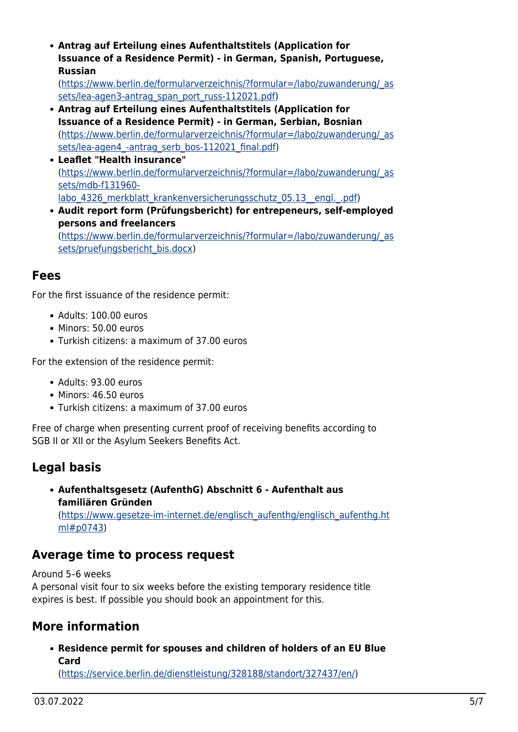**Antrag auf Erteilung eines Aufenthaltstitels (Application for Issuance of a Residence Permit) - in German, Spanish, Portuguese, Russian**

([https://www.berlin.de/formularverzeichnis/?formular=/labo/zuwanderung/\\_as](https://www.berlin.de/formularverzeichnis/?formular=/labo/zuwanderung/_assets/lea-agen3-antrag_span_port_russ-112021.pdf) [sets/lea-agen3-antrag\\_span\\_port\\_russ-112021.pdf](https://www.berlin.de/formularverzeichnis/?formular=/labo/zuwanderung/_assets/lea-agen3-antrag_span_port_russ-112021.pdf))

- **Antrag auf Erteilung eines Aufenthaltstitels (Application for Issuance of a Residence Permit) - in German, Serbian, Bosnian** ([https://www.berlin.de/formularverzeichnis/?formular=/labo/zuwanderung/\\_as](https://www.berlin.de/formularverzeichnis/?formular=/labo/zuwanderung/_assets/lea-agen4_-antrag_serb_bos-112021_final.pdf) sets/lea-agen4 -antrag\_serb\_bos-112021\_final.pdf)
- **Leaflet "Health insurance"** ([https://www.berlin.de/formularverzeichnis/?formular=/labo/zuwanderung/\\_as](https://www.berlin.de/formularverzeichnis/?formular=/labo/zuwanderung/_assets/mdb-f131960-labo_4326_merkblatt_krankenversicherungsschutz_05.13__engl._.pdf) [sets/mdb-f131960](https://www.berlin.de/formularverzeichnis/?formular=/labo/zuwanderung/_assets/mdb-f131960-labo_4326_merkblatt_krankenversicherungsschutz_05.13__engl._.pdf) labo 4326 merkblatt krankenversicherungsschutz 05.13\_engl. .pdf)
- **Audit report form (Prüfungsbericht) for entrepeneurs, self-employed persons and freelancers** ([https://www.berlin.de/formularverzeichnis/?formular=/labo/zuwanderung/\\_as](https://www.berlin.de/formularverzeichnis/?formular=/labo/zuwanderung/_assets/pruefungsbericht_bis.docx) [sets/pruefungsbericht\\_bis.docx](https://www.berlin.de/formularverzeichnis/?formular=/labo/zuwanderung/_assets/pruefungsbericht_bis.docx))

## <span id="page-4-0"></span>**Fees**

For the first issuance of the residence permit:

- Adults: 100.00 euros
- Minors: 50.00 euros
- Turkish citizens: a maximum of 37.00 euros

For the extension of the residence permit:

- Adults: 93.00 euros
- Minors: 46.50 euros
- Turkish citizens: a maximum of 37.00 euros

Free of charge when presenting current proof of receiving benefits according to SGB II or XII or the Asylum Seekers Benefits Act.

## <span id="page-4-1"></span>**Legal basis**

**Aufenthaltsgesetz (AufenthG) Abschnitt 6 - Aufenthalt aus familiären Gründen** ([https://www.gesetze-im-internet.de/englisch\\_aufenthg/englisch\\_aufenthg.ht](https://www.gesetze-im-internet.de/englisch_aufenthg/englisch_aufenthg.html#p0743) [ml#p0743\)](https://www.gesetze-im-internet.de/englisch_aufenthg/englisch_aufenthg.html#p0743)

## <span id="page-4-2"></span>**Average time to process request**

Around 5–6 weeks

A personal visit four to six weeks before the existing temporary residence title expires is best. If possible you should book an appointment for this.

## <span id="page-4-3"></span>**More information**

**Residence permit for spouses and children of holders of an EU Blue Card**

([https://service.berlin.de/dienstleistung/328188/standort/327437/en/\)](https://service.berlin.de/dienstleistung/328188/standort/327437/en/)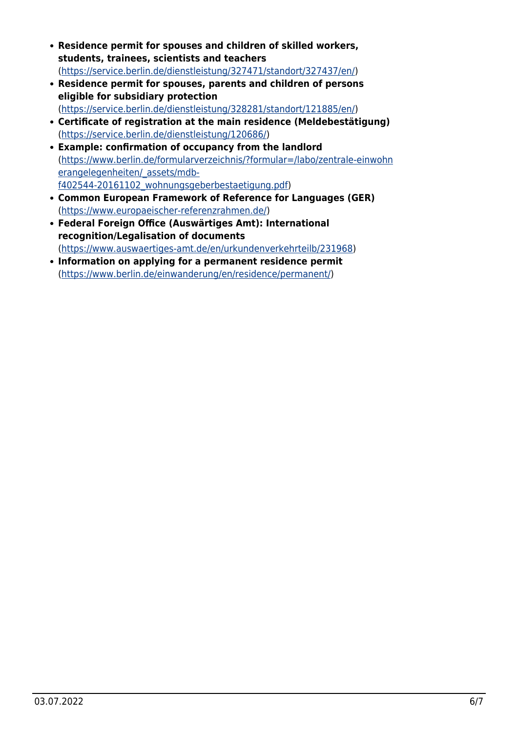- **Residence permit for spouses and children of skilled workers, students, trainees, scientists and teachers** ([https://service.berlin.de/dienstleistung/327471/standort/327437/en/\)](https://service.berlin.de/dienstleistung/327471/standort/327437/en/)
- **Residence permit for spouses, parents and children of persons eligible for subsidiary protection**
	- ([https://service.berlin.de/dienstleistung/328281/standort/121885/en/\)](https://service.berlin.de/dienstleistung/328281/standort/121885/en/)
- **Certificate of registration at the main residence (Meldebestätigung)** (<https://service.berlin.de/dienstleistung/120686/>)
- **Example: confirmation of occupancy from the landlord** ([https://www.berlin.de/formularverzeichnis/?formular=/labo/zentrale-einwohn](https://www.berlin.de/formularverzeichnis/?formular=/labo/zentrale-einwohnerangelegenheiten/_assets/mdb-f402544-20161102_wohnungsgeberbestaetigung.pdf) [erangelegenheiten/\\_assets/mdb](https://www.berlin.de/formularverzeichnis/?formular=/labo/zentrale-einwohnerangelegenheiten/_assets/mdb-f402544-20161102_wohnungsgeberbestaetigung.pdf)[f402544-20161102\\_wohnungsgeberbestaetigung.pdf\)](https://www.berlin.de/formularverzeichnis/?formular=/labo/zentrale-einwohnerangelegenheiten/_assets/mdb-f402544-20161102_wohnungsgeberbestaetigung.pdf)
- **Common European Framework of Reference for Languages (GER)** ([https://www.europaeischer-referenzrahmen.de/\)](https://www.europaeischer-referenzrahmen.de/)
- **Federal Foreign Office (Auswärtiges Amt): International recognition/Legalisation of documents** ([https://www.auswaertiges-amt.de/en/urkundenverkehrteilb/231968\)](https://www.auswaertiges-amt.de/en/urkundenverkehrteilb/231968)
- **Information on applying for a permanent residence permit** (<https://www.berlin.de/einwanderung/en/residence/permanent/>)